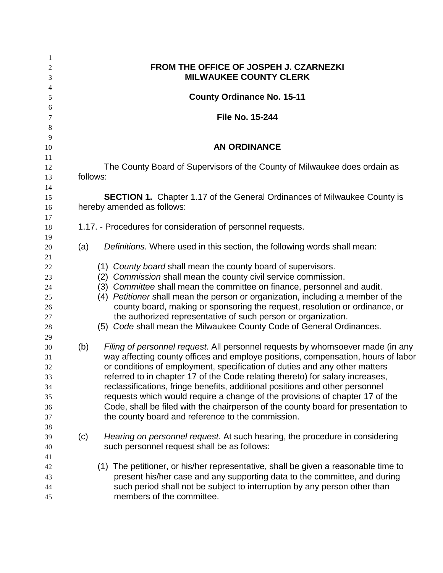| $\mathbf{1}$<br>$\overline{2}$<br>3                | FROM THE OFFICE OF JOSPEH J. CZARNEZKI<br><b>MILWAUKEE COUNTY CLERK</b>                                                                                                                                                                                                                                                                                                                                                                                                                                                                                                                                                                            |  |  |  |  |  |
|----------------------------------------------------|----------------------------------------------------------------------------------------------------------------------------------------------------------------------------------------------------------------------------------------------------------------------------------------------------------------------------------------------------------------------------------------------------------------------------------------------------------------------------------------------------------------------------------------------------------------------------------------------------------------------------------------------------|--|--|--|--|--|
| $\overline{4}$<br>$\sqrt{5}$                       | <b>County Ordinance No. 15-11</b>                                                                                                                                                                                                                                                                                                                                                                                                                                                                                                                                                                                                                  |  |  |  |  |  |
| 6                                                  |                                                                                                                                                                                                                                                                                                                                                                                                                                                                                                                                                                                                                                                    |  |  |  |  |  |
| 7                                                  | <b>File No. 15-244</b>                                                                                                                                                                                                                                                                                                                                                                                                                                                                                                                                                                                                                             |  |  |  |  |  |
| 8                                                  |                                                                                                                                                                                                                                                                                                                                                                                                                                                                                                                                                                                                                                                    |  |  |  |  |  |
| 9<br>10<br>11                                      | <b>AN ORDINANCE</b>                                                                                                                                                                                                                                                                                                                                                                                                                                                                                                                                                                                                                                |  |  |  |  |  |
| 12                                                 | The County Board of Supervisors of the County of Milwaukee does ordain as                                                                                                                                                                                                                                                                                                                                                                                                                                                                                                                                                                          |  |  |  |  |  |
| 13<br>14                                           | follows:                                                                                                                                                                                                                                                                                                                                                                                                                                                                                                                                                                                                                                           |  |  |  |  |  |
| 15<br>16                                           | <b>SECTION 1.</b> Chapter 1.17 of the General Ordinances of Milwaukee County is<br>hereby amended as follows:                                                                                                                                                                                                                                                                                                                                                                                                                                                                                                                                      |  |  |  |  |  |
| 17<br>18<br>19                                     | 1.17. - Procedures for consideration of personnel requests.                                                                                                                                                                                                                                                                                                                                                                                                                                                                                                                                                                                        |  |  |  |  |  |
| 20<br>21                                           | (a)<br>Definitions. Where used in this section, the following words shall mean:                                                                                                                                                                                                                                                                                                                                                                                                                                                                                                                                                                    |  |  |  |  |  |
| $22\,$<br>23<br>$24\,$<br>25<br>26<br>27<br>$28\,$ | (1) County board shall mean the county board of supervisors.<br>Commission shall mean the county civil service commission.<br>(2)<br>(3) Committee shall mean the committee on finance, personnel and audit.<br>(4) Petitioner shall mean the person or organization, including a member of the<br>county board, making or sponsoring the request, resolution or ordinance, or<br>the authorized representative of such person or organization.<br>(5) Code shall mean the Milwaukee County Code of General Ordinances.                                                                                                                            |  |  |  |  |  |
| 29<br>30<br>31<br>32<br>33<br>34<br>35<br>36<br>37 | Filing of personnel request. All personnel requests by whomsoever made (in any<br>(b)<br>way affecting county offices and employe positions, compensation, hours of labor<br>or conditions of employment, specification of duties and any other matters<br>referred to in chapter 17 of the Code relating thereto) for salary increases,<br>reclassifications, fringe benefits, additional positions and other personnel<br>requests which would require a change of the provisions of chapter 17 of the<br>Code, shall be filed with the chairperson of the county board for presentation to<br>the county board and reference to the commission. |  |  |  |  |  |
| 38<br>39<br>40<br>41                               | Hearing on personnel request. At such hearing, the procedure in considering<br>(c)<br>such personnel request shall be as follows:                                                                                                                                                                                                                                                                                                                                                                                                                                                                                                                  |  |  |  |  |  |
| 42<br>43<br>44<br>45                               | (1) The petitioner, or his/her representative, shall be given a reasonable time to<br>present his/her case and any supporting data to the committee, and during<br>such period shall not be subject to interruption by any person other than<br>members of the committee.                                                                                                                                                                                                                                                                                                                                                                          |  |  |  |  |  |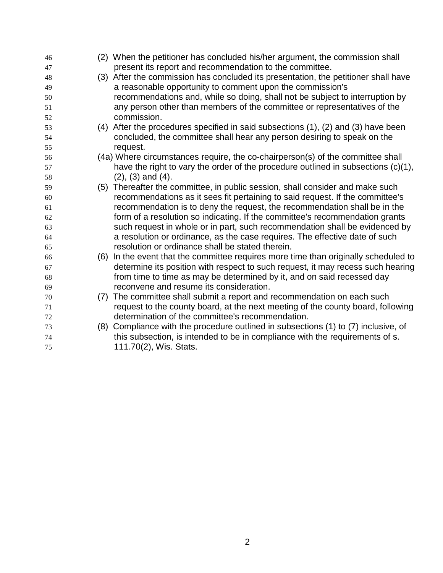| 46 |     | (2) When the petitioner has concluded his/her argument, the commission shall        |
|----|-----|-------------------------------------------------------------------------------------|
| 47 |     | present its report and recommendation to the committee.                             |
| 48 |     | (3) After the commission has concluded its presentation, the petitioner shall have  |
| 49 |     | a reasonable opportunity to comment upon the commission's                           |
| 50 |     | recommendations and, while so doing, shall not be subject to interruption by        |
| 51 |     | any person other than members of the committee or representatives of the            |
| 52 |     | commission.                                                                         |
| 53 |     | (4) After the procedures specified in said subsections (1), (2) and (3) have been   |
| 54 |     | concluded, the committee shall hear any person desiring to speak on the             |
| 55 |     | request.                                                                            |
| 56 |     | (4a) Where circumstances require, the co-chairperson(s) of the committee shall      |
| 57 |     | have the right to vary the order of the procedure outlined in subsections (c)(1),   |
| 58 |     | $(2)$ , $(3)$ and $(4)$ .                                                           |
| 59 |     | (5) Thereafter the committee, in public session, shall consider and make such       |
| 60 |     | recommendations as it sees fit pertaining to said request. If the committee's       |
| 61 |     | recommendation is to deny the request, the recommendation shall be in the           |
| 62 |     | form of a resolution so indicating. If the committee's recommendation grants        |
| 63 |     | such request in whole or in part, such recommendation shall be evidenced by         |
| 64 |     | a resolution or ordinance, as the case requires. The effective date of such         |
| 65 |     | resolution or ordinance shall be stated therein.                                    |
| 66 |     | (6) In the event that the committee requires more time than originally scheduled to |
| 67 |     | determine its position with respect to such request, it may recess such hearing     |
| 68 |     | from time to time as may be determined by it, and on said recessed day              |
| 69 |     | reconvene and resume its consideration.                                             |
| 70 | (7) | The committee shall submit a report and recommendation on each such                 |
| 71 |     | request to the county board, at the next meeting of the county board, following     |
| 72 |     | determination of the committee's recommendation.                                    |
| 73 |     | (8) Compliance with the procedure outlined in subsections (1) to (7) inclusive, of  |
| 74 |     | this subsection, is intended to be in compliance with the requirements of s.        |
| 75 |     | 111.70(2), Wis. Stats.                                                              |